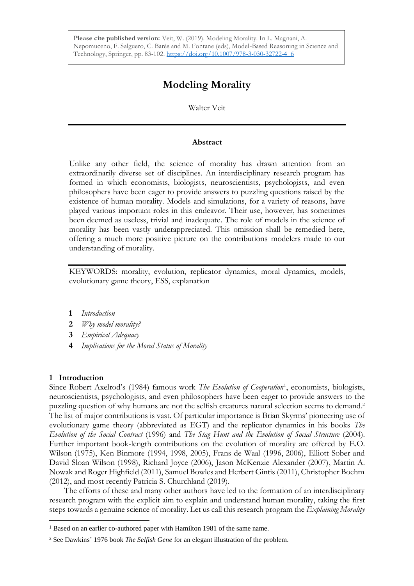**Please cite published version:** Veit, W. (2019). Modeling Morality. In L. Magnani, A. Nepomuceno, F. Salguero, C. Barés and M. Fontane (eds), Model-Based Reasoning in Science and Technology, Springer, pp. 83-102[. https://doi.org/10.1007/978-3-030-32722-4\\_6](https://doi.org/10.1007/978-3-030-32722-4_6)

# **Modeling Morality**

## Walter Veit

## **Abstract**

Unlike any other field, the science of morality has drawn attention from an extraordinarily diverse set of disciplines. An interdisciplinary research program has formed in which economists, biologists, neuroscientists, psychologists, and even philosophers have been eager to provide answers to puzzling questions raised by the existence of human morality. Models and simulations, for a variety of reasons, have played various important roles in this endeavor. Their use, however, has sometimes been deemed as useless, trivial and inadequate. The role of models in the science of morality has been vastly underappreciated. This omission shall be remedied here, offering a much more positive picture on the contributions modelers made to our understanding of morality.

KEYWORDS: morality, evolution, replicator dynamics, moral dynamics, models, evolutionary game theory, ESS, explanation

- **1** *Introduction*
- **2** *Why model morality?*
- **3** *Empirical Adequacy*
- **4** *Implications for the Moral Status of Morality*

### **1 Introduction**

Since Robert Axelrod's (1984) famous work *The Evolution of Cooperation*<sup>1</sup> , economists, biologists, neuroscientists, psychologists, and even philosophers have been eager to provide answers to the puzzling question of why humans are not the selfish creatures natural selection seems to demand. 2 The list of major contributions is vast. Of particular importance is Brian Skyrms' pioneering use of evolutionary game theory (abbreviated as EGT) and the replicator dynamics in his books *The Evolution of the Social Contract* (1996) and *The Stag Hunt and the Evolution of Social Structure* (2004). Further important book-length contributions on the evolution of morality are offered by E.O. Wilson (1975), Ken Binmore (1994, 1998, 2005), Frans de Waal (1996, 2006), Elliott Sober and David Sloan Wilson (1998), Richard Joyce (2006), Jason McKenzie Alexander (2007), Martin A. Nowak and Roger Highfield (2011), Samuel Bowles and Herbert Gintis (2011), Christopher Boehm (2012), and most recently Patricia S. Churchland (2019).

The efforts of these and many other authors have led to the formation of an interdisciplinary research program with the explicit aim to explain and understand human morality, taking the first steps towards a genuine science of morality. Let us call this research program the *Explaining Morality* 

<sup>&</sup>lt;sup>1</sup> Based on an earlier co-authored paper with Hamilton 1981 of the same name.

<sup>2</sup> See Dawkins' 1976 book *The Selfish Gene* for an elegant illustration of the problem.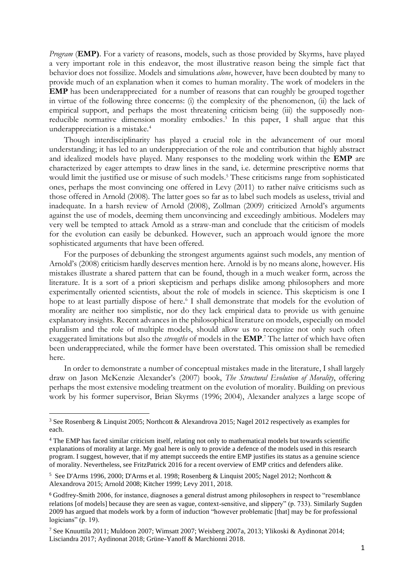*Program* (**EMP)**. For a variety of reasons, models, such as those provided by Skyrms, have played a very important role in this endeavor, the most illustrative reason being the simple fact that behavior does not fossilize. Models and simulations *alone*, however, have been doubted by many to provide much of an explanation when it comes to human morality. The work of modelers in the **EMP** has been underappreciated for a number of reasons that can roughly be grouped together in virtue of the following three concerns: (i) the complexity of the phenomenon, (ii) the lack of empirical support, and perhaps the most threatening criticism being (iii) the supposedly nonreducible normative dimension morality embodies. 3 In this paper, I shall argue that this underappreciation is a mistake.<sup>4</sup>

Though interdisciplinarity has played a crucial role in the advancement of our moral understanding; it has led to an underappreciation of the role and contribution that highly abstract and idealized models have played. Many responses to the modeling work within the **EMP** are characterized by eager attempts to draw lines in the sand, i.e. determine prescriptive norms that would limit the justified use or misuse of such models. <sup>5</sup> These criticisms range from sophisticated ones, perhaps the most convincing one offered in Levy (2011) to rather naïve criticisms such as those offered in Arnold (2008). The latter goes so far as to label such models as useless, trivial and inadequate. In a harsh review of Arnold (2008), Zollman (2009) criticized Arnold's arguments against the use of models, deeming them unconvincing and exceedingly ambitious. Modelers may very well be tempted to attack Arnold as a straw-man and conclude that the criticism of models for the evolution can easily be debunked. However, such an approach would ignore the more sophisticated arguments that have been offered.

For the purposes of debunking the strongest arguments against such models, any mention of Arnold's (2008) criticism hardly deserves mention here. Arnold is by no means alone, however. His mistakes illustrate a shared pattern that can be found, though in a much weaker form, across the literature. It is a sort of a priori skepticism and perhaps dislike among philosophers and more experimentally oriented scientists, about the role of models in science. This skepticism is one I hope to at least partially dispose of here.<sup>6</sup> I shall demonstrate that models for the evolution of morality are neither too simplistic, nor do they lack empirical data to provide us with genuine explanatory insights. Recent advances in the philosophical literature on models, especially on model pluralism and the role of multiple models, should allow us to recognize not only such often exaggerated limitations but also the *strengths* of models in the **EMP**. <sup>7</sup> The latter of which have often been underappreciated, while the former have been overstated. This omission shall be remedied here.

In order to demonstrate a number of conceptual mistakes made in the literature, I shall largely draw on Jason McKenzie Alexander's (2007) book, *The Structural Evolution of Morality*, offering perhaps the most extensive modeling treatment on the evolution of morality. Building on previous work by his former supervisor, Brian Skyrms (1996; 2004), Alexander analyzes a large scope of

<sup>3</sup> See Rosenberg & Linquist 2005; Northcott & Alexandrova 2015; Nagel 2012 respectively as examples for each.

<sup>4</sup> The EMP has faced similar criticism itself, relating not only to mathematical models but towards scientific explanations of morality at large. My goal here is only to provide a defence of the models used in this research program. I suggest, however, that if my attempt succeeds the entire EMP justifies its status as a genuine science of morality. Nevertheless, see FritzPatrick 2016 for a recent overview of EMP critics and defenders alike.

<sup>5</sup> See D'Arms 1996, 2000; D'Arms et al. 1998; Rosenberg & Linquist 2005; Nagel 2012; Northcott & Alexandrova 2015; Arnold 2008; Kitcher 1999; Levy 2011, 2018.

<sup>6</sup> Godfrey-Smith 2006, for instance, diagnoses a general distrust among philosophers in respect to "resemblance relations [of models] because they are seen as vague, context-sensitive, and slippery" (p. 733). Similarly Sugden 2009 has argued that models work by a form of induction "however problematic [that] may be for professional logicians" (p. 19).

<sup>7</sup> See Knuuttila 2011; Muldoon 2007; Wimsatt 2007; Weisberg 2007a, 2013; Ylikoski & Aydinonat 2014; Lisciandra 2017; Aydinonat 2018; Grüne-Yanoff & Marchionni 2018.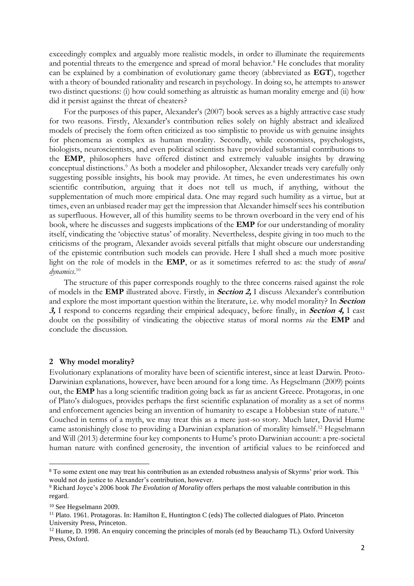exceedingly complex and arguably more realistic models, in order to illuminate the requirements and potential threats to the emergence and spread of moral behavior. <sup>8</sup> He concludes that morality can be explained by a combination of evolutionary game theory (abbreviated as **EGT**), together with a theory of bounded rationality and research in psychology. In doing so, he attempts to answer two distinct questions: (i) how could something as altruistic as human morality emerge and (ii) how did it persist against the threat of cheaters?

For the purposes of this paper, Alexander's (2007) book serves as a highly attractive case study for two reasons. Firstly, Alexander's contribution relies solely on highly abstract and idealized models of precisely the form often criticized as too simplistic to provide us with genuine insights for phenomena as complex as human morality. Secondly, while economists, psychologists, biologists, neuroscientists, and even political scientists have provided substantial contributions to the **EMP**, philosophers have offered distinct and extremely valuable insights by drawing conceptual distinctions.<sup>9</sup> As both a modeler and philosopher, Alexander treads very carefully only suggesting possible insights, his book may provide. At times, he even underestimates his own scientific contribution, arguing that it does not tell us much, if anything, without the supplementation of much more empirical data. One may regard such humility as a virtue, but at times, even an unbiased reader may get the impression that Alexander himself sees his contribution as superfluous. However, all of this humility seems to be thrown overboard in the very end of his book, where he discusses and suggests implications of the **EMP** for our understanding of morality itself, vindicating the 'objective status' of morality. Nevertheless, despite giving in too much to the criticisms of the program, Alexander avoids several pitfalls that might obscure our understanding of the epistemic contribution such models can provide. Here I shall shed a much more positive light on the role of models in the **EMP**, or as it sometimes referred to as: the study of *moral dynamics*. 10

The structure of this paper corresponds roughly to the three concerns raised against the role of models in the **EMP** illustrated above. Firstly, in **Section 2,** I discuss Alexander's contribution and explore the most important question within the literature, i.e. why model morality? In **Section 3,** I respond to concerns regarding their empirical adequacy, before finally, in **Section 4,** I cast doubt on the possibility of vindicating the objective status of moral norms *via* the **EMP** and conclude the discussion.

#### **2 Why model morality?**

Evolutionary explanations of morality have been of scientific interest, since at least Darwin. Proto-Darwinian explanations, however, have been around for a long time. As Hegselmann (2009) points out, the **EMP** has a long scientific tradition going back as far as ancient Greece. Protagoras, in one of Plato's dialogues, provides perhaps the first scientific explanation of morality as a set of norms and enforcement agencies being an invention of humanity to escape a Hobbesian state of nature.<sup>11</sup> Couched in terms of a myth, we may treat this as a mere just-so story. Much later, David Hume came astonishingly close to providing a Darwinian explanation of morality himself. <sup>12</sup> Hegselmann and Will (2013) determine four key components to Hume's proto Darwinian account: a pre-societal human nature with confined generosity, the invention of artificial values to be reinforced and

<sup>8</sup> To some extent one may treat his contribution as an extended robustness analysis of Skyrms' prior work. This would not do justice to Alexander's contribution, however.

<sup>9</sup> Richard Joyce's 2006 book *The Evolution of Morality* offers perhaps the most valuable contribution in this regard.

<sup>10</sup> See Hegselmann 2009.

<sup>&</sup>lt;sup>11</sup> Plato. 1961. Protagoras. In: Hamilton E, Huntington C (eds) The collected dialogues of Plato. Princeton University Press, Princeton.

<sup>&</sup>lt;sup>12</sup> Hume, D. 1998. An enquiry concerning the principles of morals (ed by Beauchamp TL). Oxford University Press, Oxford.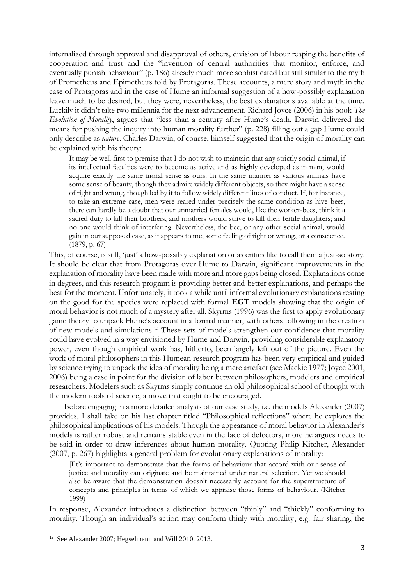internalized through approval and disapproval of others, division of labour reaping the benefits of cooperation and trust and the "invention of central authorities that monitor, enforce, and eventually punish behaviour" (p. 186) already much more sophisticated but still similar to the myth of Prometheus and Epimetheus told by Protagoras. These accounts, a mere story and myth in the case of Protagoras and in the case of Hume an informal suggestion of a how-possibly explanation leave much to be desired, but they were, nevertheless, the best explanations available at the time. Luckily it didn't take two millennia for the next advancement. Richard Joyce (2006) in his book *The Evolution of Morality*, argues that "less than a century after Hume's death, Darwin delivered the means for pushing the inquiry into human morality further" (p. 228) filling out a gap Hume could only describe as *nature*. Charles Darwin, of course, himself suggested that the origin of morality can be explained with his theory:

It may be well first to premise that I do not wish to maintain that any strictly social animal, if its intellectual faculties were to become as active and as highly developed as in man, would acquire exactly the same moral sense as ours. In the same manner as various animals have some sense of beauty, though they admire widely different objects, so they might have a sense of right and wrong, though led by it to follow widely different lines of conduct. If, for instance, to take an extreme case, men were reared under precisely the same condition as hive-bees, there can hardly be a doubt that our unmarried females would, like the worker-bees, think it a sacred duty to kill their brothers, and mothers would strive to kill their fertile daughters; and no one would think of interfering. Nevertheless, the bee, or any other social animal, would gain in our supposed case, as it appears to me, some feeling of right or wrong, or a conscience. (1879, p. 67)

This, of course, is still, 'just' a how-possibly explanation or as critics like to call them a just-so story. It should be clear that from Protagoras over Hume to Darwin, significant improvements in the explanation of morality have been made with more and more gaps being closed. Explanations come in degrees, and this research program is providing better and better explanations, and perhaps the best for the moment. Unfortunately, it took a while until informal evolutionary explanations resting on the good for the species were replaced with formal **EGT** models showing that the origin of moral behavior is not much of a mystery after all. Skyrms (1996) was the first to apply evolutionary game theory to unpack Hume's account in a formal manner, with others following in the creation of new models and simulations. <sup>13</sup> These sets of models strengthen our confidence that morality could have evolved in a way envisioned by Hume and Darwin, providing considerable explanatory power, even though empirical work has, hitherto, been largely left out of the picture. Even the work of moral philosophers in this Humean research program has been very empirical and guided by science trying to unpack the idea of morality being a mere artefact (see Mackie 1977; Joyce 2001, 2006) being a case in point for the division of labor between philosophers, modelers and empirical researchers. Modelers such as Skyrms simply continue an old philosophical school of thought with the modern tools of science, a move that ought to be encouraged.

Before engaging in a more detailed analysis of our case study, i.e. the models Alexander (2007) provides, I shall take on his last chapter titled "Philosophical reflections" where he explores the philosophical implications of his models. Though the appearance of moral behavior in Alexander's models is rather robust and remains stable even in the face of defectors, more he argues needs to be said in order to draw inferences about human morality. Quoting Philip Kitcher, Alexander (2007, p. 267) highlights a general problem for evolutionary explanations of morality:

[I]t's important to demonstrate that the forms of behaviour that accord with our sense of justice and morality can originate and be maintained under natural selection. Yet we should also be aware that the demonstration doesn't necessarily account for the superstructure of concepts and principles in terms of which we appraise those forms of behaviour. (Kitcher 1999)

In response, Alexander introduces a distinction between "thinly" and "thickly" conforming to morality. Though an individual's action may conform thinly with morality, e.g. fair sharing, the

<sup>13</sup> See Alexander 2007; Hegselmann and Will 2010, 2013.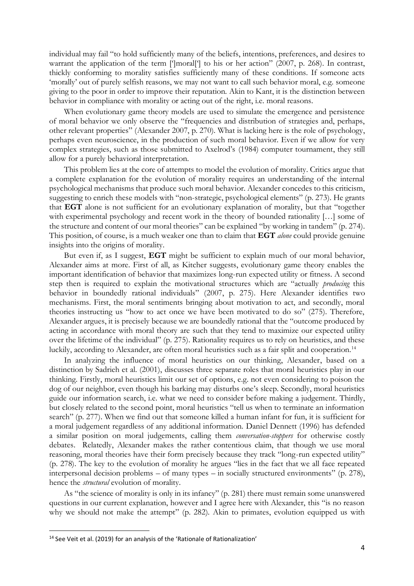individual may fail "to hold sufficiently many of the beliefs, intentions, preferences, and desires to warrant the application of the term [']moral['] to his or her action" (2007, p. 268). In contrast, thickly conforming to morality satisfies sufficiently many of these conditions. If someone acts 'morally' out of purely selfish reasons, we may not want to call such behavior moral, e.g. someone giving to the poor in order to improve their reputation. Akin to Kant, it is the distinction between behavior in compliance with morality or acting out of the right, i.e. moral reasons.

When evolutionary game theory models are used to simulate the emergence and persistence of moral behavior we only observe the "frequencies and distribution of strategies and, perhaps, other relevant properties" (Alexander 2007, p. 270). What is lacking here is the role of psychology, perhaps even neuroscience, in the production of such moral behavior. Even if we allow for very complex strategies, such as those submitted to Axelrod's (1984) computer tournament, they still allow for a purely behavioral interpretation.

This problem lies at the core of attempts to model the evolution of morality. Critics argue that a complete explanation for the evolution of morality requires an understanding of the internal psychological mechanisms that produce such moral behavior. Alexander concedes to this criticism, suggesting to enrich these models with "non-strategic, psychological elements" (p. 273). He grants that **EGT** alone is not sufficient for an evolutionary explanation of morality, but that "together with experimental psychology and recent work in the theory of bounded rationality [...] some of the structure and content of our moral theories" can be explained "by working in tandem" (p. 274). This position, of course, is a much weaker one than to claim that **EGT** *alone* could provide genuine insights into the origins of morality.

But even if, as I suggest, **EGT** might be sufficient to explain much of our moral behavior, Alexander aims at more. First of all, as Kitcher suggests, evolutionary game theory enables the important identification of behavior that maximizes long-run expected utility or fitness. A second step then is required to explain the motivational structures which are "actually *producing* this behavior in boundedly rational individuals" (2007, p. 275). Here Alexander identifies two mechanisms. First, the moral sentiments bringing about motivation to act, and secondly, moral theories instructing us "how to act once we have been motivated to do so" (275). Therefore, Alexander argues, it is precisely because we are boundedly rational that the "outcome produced by acting in accordance with moral theory are such that they tend to maximize our expected utility over the lifetime of the individual" (p. 275). Rationality requires us to rely on heuristics, and these luckily, according to Alexander, are often moral heuristics such as a fair split and cooperation. 14

In analyzing the influence of moral heuristics on our thinking, Alexander, based on a distinction by Sadrieh et al. (2001), discusses three separate roles that moral heuristics play in our thinking. Firstly, moral heuristics limit our set of options, e.g. not even considering to poison the dog of our neighbor, even though his barking may disturbs one's sleep. Secondly, moral heuristics guide our information search, i.e. what we need to consider before making a judgement. Thirdly, but closely related to the second point, moral heuristics "tell us when to terminate an information search" (p. 277). When we find out that someone killed a human infant for fun, it is sufficient for a moral judgement regardless of any additional information. Daniel Dennett (1996) has defended a similar position on moral judgements, calling them *conversation-stoppers* for otherwise costly debates. Relatedly, Alexander makes the rather contentious claim, that though we use moral reasoning, moral theories have their form precisely because they track "long-run expected utility" (p. 278). The key to the evolution of morality he argues "lies in the fact that we all face repeated interpersonal decision problems – of many types – in socially structured environments" (p. 278), hence the *structural* evolution of morality.

As "the science of morality is only in its infancy" (p. 281) there must remain some unanswered questions in our current explanation, however and I agree here with Alexander, this "is no reason why we should not make the attempt" (p. 282). Akin to primates, evolution equipped us with

<sup>&</sup>lt;sup>14</sup> See Veit et al. (2019) for an analysis of the 'Rationale of Rationalization'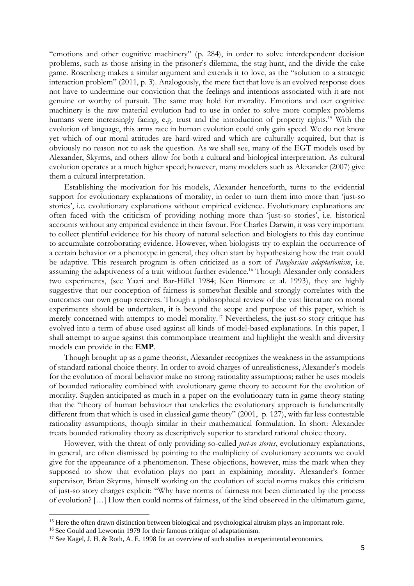"emotions and other cognitive machinery" (p. 284), in order to solve interdependent decision problems, such as those arising in the prisoner's dilemma, the stag hunt, and the divide the cake game. Rosenberg makes a similar argument and extends it to love, as the "solution to a strategic interaction problem" (2011, p. 3). Analogously, the mere fact that love is an evolved response does not have to undermine our conviction that the feelings and intentions associated with it are not genuine or worthy of pursuit. The same may hold for morality. Emotions and our cognitive machinery is the raw material evolution had to use in order to solve more complex problems humans were increasingly facing, e.g. trust and the introduction of property rights. <sup>15</sup> With the evolution of language, this arms race in human evolution could only gain speed. We do not know yet which of our moral attitudes are hard-wired and which are culturally acquired, but that is obviously no reason not to ask the question. As we shall see, many of the EGT models used by Alexander, Skyrms, and others allow for both a cultural and biological interpretation. As cultural evolution operates at a much higher speed; however, many modelers such as Alexander (2007) give them a cultural interpretation.

Establishing the motivation for his models, Alexander henceforth, turns to the evidential support for evolutionary explanations of morality, in order to turn them into more than 'just-so stories', i.e. evolutionary explanations without empirical evidence. Evolutionary explanations are often faced with the criticism of providing nothing more than 'just-so stories', i.e. historical accounts without any empirical evidence in their favour. For Charles Darwin, it was very important to collect plentiful evidence for his theory of natural selection and biologists to this day continue to accumulate corroborating evidence. However, when biologists try to explain the occurrence of a certain behavior or a phenotype in general, they often start by hypothesizing how the trait could be adaptive. This research program is often criticized as a sort of *Panglossian adaptationism*, i.e. assuming the adaptiveness of a trait without further evidence.<sup>16</sup> Though Alexander only considers two experiments, (see Yaari and Bar-Hillel 1984; Ken Binmore et al. 1993), they are highly suggestive that our conception of fairness is somewhat flexible and strongly correlates with the outcomes our own group receives. Though a philosophical review of the vast literature on moral experiments should be undertaken, it is beyond the scope and purpose of this paper, which is merely concerned with attempts to model morality.<sup>17</sup> Nevertheless, the just-so story critique has evolved into a term of abuse used against all kinds of model-based explanations. In this paper, I shall attempt to argue against this commonplace treatment and highlight the wealth and diversity models can provide in the **EMP**.

Though brought up as a game theorist, Alexander recognizes the weakness in the assumptions of standard rational choice theory. In order to avoid charges of unrealisticness, Alexander's models for the evolution of moral behavior make no strong rationality assumptions; rather he uses models of bounded rationality combined with evolutionary game theory to account for the evolution of morality. Sugden anticipated as much in a paper on the evolutionary turn in game theory stating that the "theory of human behaviour that underlies the evolutionary approach is fundamentally different from that which is used in classical game theory" (2001, p. 127), with far less contestable rationality assumptions, though similar in their mathematical formulation. In short: Alexander treats bounded rationality theory as descriptively superior to standard rational choice theory.

However, with the threat of only providing so-called *just-so stories*, evolutionary explanations, in general, are often dismissed by pointing to the multiplicity of evolutionary accounts we could give for the appearance of a phenomenon. These objections, however, miss the mark when they supposed to show that evolution plays no part in explaining morality. Alexander's former supervisor, Brian Skyrms, himself working on the evolution of social norms makes this criticism of just-so story charges explicit: "Why have norms of fairness not been eliminated by the process of evolution? […] How then could norms of fairness, of the kind observed in the ultimatum game,

<sup>&</sup>lt;sup>15</sup> Here the often drawn distinction between biological and psychological altruism plays an important role.

<sup>16</sup> See Gould and Lewontin 1979 for their famous critique of adaptationism.

<sup>&</sup>lt;sup>17</sup> See Kagel, J. H. & Roth, A. E. 1998 for an overview of such studies in experimental economics.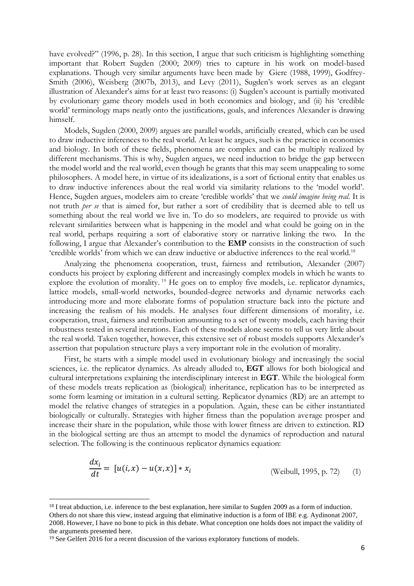have evolved?" (1996, p. 28). In this section, I argue that such criticism is highlighting something important that Robert Sugden (2000; 2009) tries to capture in his work on model-based explanations. Though very similar arguments have been made by Giere (1988, 1999), Godfrey-Smith (2006), Weisberg (2007b, 2013), and Levy (2011), Sugden's work serves as an elegant illustration of Alexander's aims for at least two reasons: (i) Sugden's account is partially motivated by evolutionary game theory models used in both economics and biology, and (ii) his 'credible world' terminology maps neatly onto the justifications, goals, and inferences Alexander is drawing himself.

Models, Sugden (2000, 2009) argues are parallel worlds, artificially created, which can be used to draw inductive inferences to the real world. At least he argues, such is the practice in economics and biology. In both of these fields, phenomena are complex and can be multiply realized by different mechanisms. This is why, Sugden argues, we need induction to bridge the gap between the model world and the real world, even though he grants that this may seem unappealing to some philosophers. A model here, in virtue of its idealizations, is a sort of fictional entity that enables us to draw inductive inferences about the real world via similarity relations to the 'model world'. Hence, Sugden argues, modelers aim to create 'credible worlds' that we *could imagine being real*. It is not truth *per se* that is aimed for, but rather a sort of credibility that is deemed able to tell us something about the real world we live in. To do so modelers, are required to provide us with relevant similarities between what is happening in the model and what could be going on in the real world, perhaps requiring a sort of elaborative story or narrative linking the two. In the following, I argue that Alexander's contribution to the **EMP** consists in the construction of such 'credible worlds' from which we can draw inductive or abductive inferences to the real world.<sup>18</sup>

Analyzing the phenomena cooperation, trust, fairness and retribution, Alexander (2007) conducts his project by exploring different and increasingly complex models in which he wants to explore the evolution of morality.<sup>19</sup> He goes on to employ five models, i.e. replicator dynamics, lattice models, small-world networks, bounded-degree networks and dynamic networks each introducing more and more elaborate forms of population structure back into the picture and increasing the realism of his models. He analyses four different dimensions of morality, i.e. cooperation, trust, fairness and retribution amounting to a set of twenty models, each having their robustness tested in several iterations. Each of these models alone seems to tell us very little about the real world. Taken together, however, this extensive set of robust models supports Alexander's assertion that population structure plays a very important role in the evolution of morality.

First, he starts with a simple model used in evolutionary biology and increasingly the social sciences, i.e. the replicator dynamics. As already alluded to, **EGT** allows for both biological and cultural interpretations explaining the interdisciplinary interest in **EGT**. While the biological form of these models treats replication as (biological) inheritance, replication has to be interpreted as some form learning or imitation in a cultural setting. Replicator dynamics (RD) are an attempt to model the relative changes of strategies in a population. Again, these can be either instantiated biologically or culturally. Strategies with higher fitness than the population average prosper and increase their share in the population, while those with lower fitness are driven to extinction. RD in the biological setting are thus an attempt to model the dynamics of reproduction and natural selection. The following is the continuous replicator dynamics equation:

$$
\frac{dx_i}{dt} = [u(i, x) - u(x, x)] * x_i
$$
 (Weibull, 1995, p. 72) (1)

<sup>&</sup>lt;sup>18</sup> I treat abduction, i.e. inference to the best explanation, here similar to Sugden 2009 as a form of induction. Others do not share this view, instead arguing that eliminative induction is a form of IBE e.g. Aydinonat 2007, 2008. However, I have no bone to pick in this debate. What conception one holds does not impact the validity of the arguments presented here.

<sup>&</sup>lt;sup>19</sup> See Gelfert 2016 for a recent discussion of the various exploratory functions of models.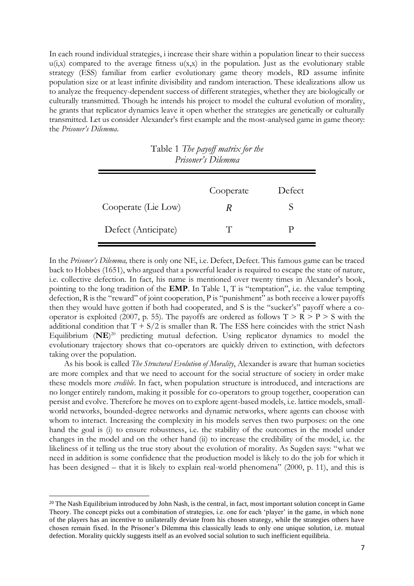In each round individual strategies, i increase their share within a population linear to their success  $u(i,x)$  compared to the average fitness  $u(x,x)$  in the population. Just as the evolutionary stable strategy (ESS) familiar from earlier evolutionary game theory models, RD assume infinite population size or at least infinite divisibility and random interaction. These idealizations allow us to analyze the frequency-dependent success of different strategies, whether they are biologically or culturally transmitted. Though he intends his project to model the cultural evolution of morality, he grants that replicator dynamics leave it open whether the strategies are genetically or culturally transmitted. Let us consider Alexander's first example and the most-analysed game in game theory: the *Prisoner's Dilemma*.

Table 1 *The payoff matrix for the Prisoner's Dilemma*

|                     | Cooperate | Defect |
|---------------------|-----------|--------|
| Cooperate (Lie Low) | к         |        |
| Defect (Anticipate) | T         |        |

In the *Prisoner's Dilemma,* there is only one NE, i.e. Defect, Defect. This famous game can be traced back to Hobbes (1651), who argued that a powerful leader is required to escape the state of nature, i.e. collective defection. In fact, his name is mentioned over twenty times in Alexander's book, pointing to the long tradition of the **EMP**. In Table 1, T is "temptation", i.e. the value tempting defection, R is the "reward" of joint cooperation, P is "punishment" as both receive a lower payoffs then they would have gotten if both had cooperated, and S is the "sucker's" payoff where a cooperator is exploited (2007, p. 55). The payoffs are ordered as follows  $T > R > P > S$  with the additional condition that  $T + S/2$  is smaller than R. The ESS here coincides with the strict Nash Equilibrium (**NE**) <sup>20</sup> predicting mutual defection. Using replicator dynamics to model the evolutionary trajectory shows that co-operators are quickly driven to extinction, with defectors taking over the population.

As his book is called *The Structural Evolution of Morality*, Alexander is aware that human societies are more complex and that we need to account for the social structure of society in order make these models more *credible*. In fact, when population structure is introduced, and interactions are no longer entirely random, making it possible for co-operators to group together, cooperation can persist and evolve. Therefore he moves on to explore agent-based models, i.e. lattice models, smallworld networks, bounded-degree networks and dynamic networks, where agents can choose with whom to interact. Increasing the complexity in his models serves then two purposes: on the one hand the goal is (i) to ensure robustness, i.e. the stability of the outcomes in the model under changes in the model and on the other hand (ii) to increase the credibility of the model, i.e. the likeliness of it telling us the true story about the evolution of morality. As Sugden says: "what we need in addition is some confidence that the production model is likely to do the job for which it has been designed – that it is likely to explain real-world phenomena" (2000, p. 11), and this is

<sup>&</sup>lt;sup>20</sup> The Nash Equilibrium introduced by John Nash, is the central, in fact, most important solution concept in Game Theory. The concept picks out a combination of strategies, i.e. one for each 'player' in the game, in which none of the players has an incentive to unilaterally deviate from his chosen strategy, while the strategies others have chosen remain fixed. In the Prisoner's Dilemma this classically leads to only one unique solution, i.e. mutual defection. Morality quickly suggests itself as an evolved social solution to such inefficient equilibria.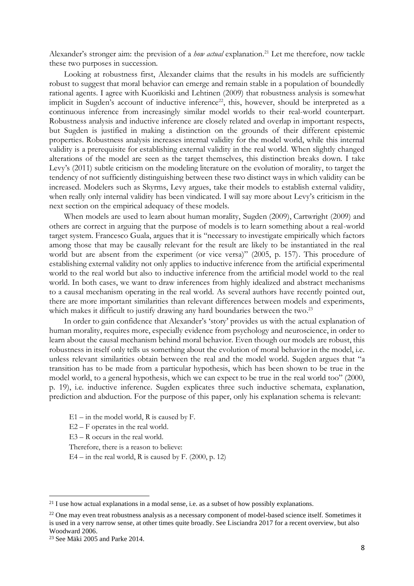Alexander's stronger aim: the prevision of a *how actual* explanation.<sup>21</sup> Let me therefore, now tackle these two purposes in succession.

Looking at robustness first, Alexander claims that the results in his models are sufficiently robust to suggest that moral behavior can emerge and remain stable in a population of boundedly rational agents. I agree with Kuorikiski and Lehtinen (2009) that robustness analysis is somewhat implicit in Sugden's account of inductive inference<sup>22</sup>, this, however, should be interpreted as a continuous inference from increasingly similar model worlds to their real-world counterpart. Robustness analysis and inductive inference are closely related and overlap in important respects, but Sugden is justified in making a distinction on the grounds of their different epistemic properties. Robustness analysis increases internal validity for the model world, while this internal validity is a prerequisite for establishing external validity in the real world. When slightly changed alterations of the model are seen as the target themselves, this distinction breaks down. I take Levy's (2011) subtle criticism on the modeling literature on the evolution of morality, to target the tendency of not sufficiently distinguishing between these two distinct ways in which validity can be increased. Modelers such as Skyrms, Levy argues, take their models to establish external validity, when really only internal validity has been vindicated. I will say more about Levy's criticism in the next section on the empirical adequacy of these models.

When models are used to learn about human morality, Sugden (2009), Cartwright (2009) and others are correct in arguing that the purpose of models is to learn something about a real-world target system. Francesco Guala, argues that it is "necessary to investigate empirically which factors among those that may be causally relevant for the result are likely to be instantiated in the real world but are absent from the experiment (or vice versa)" (2005, p. 157). This procedure of establishing external validity not only applies to inductive inference from the artificial experimental world to the real world but also to inductive inference from the artificial model world to the real world. In both cases, we want to draw inferences from highly idealized and abstract mechanisms to a causal mechanism operating in the real world. As several authors have recently pointed out, there are more important similarities than relevant differences between models and experiments, which makes it difficult to justify drawing any hard boundaries between the two.<sup>23</sup>

In order to gain confidence that Alexander's 'story' provides us with the actual explanation of human morality, requires more, especially evidence from psychology and neuroscience, in order to learn about the causal mechanism behind moral behavior. Even though our models are robust, this robustness in itself only tells us something about the evolution of moral behavior in the model, i.e. unless relevant similarities obtain between the real and the model world. Sugden argues that "a transition has to be made from a particular hypothesis, which has been shown to be true in the model world, to a general hypothesis, which we can expect to be true in the real world too" (2000, p. 19), i.e. inductive inference. Sugden explicates three such inductive schemata, explanation, prediction and abduction. For the purpose of this paper, only his explanation schema is relevant:

- $E1$  in the model world, R is caused by F.
- E2 F operates in the real world.
- E3 R occurs in the real world.
- Therefore, there is a reason to believe:
- $E4 in$  the real world, R is caused by F. (2000, p. 12)

 $21$  I use how actual explanations in a modal sense, i.e. as a subset of how possibly explanations.

<sup>&</sup>lt;sup>22</sup> One may even treat robustness analysis as a necessary component of model-based science itself. Sometimes it is used in a very narrow sense, at other times quite broadly. See Lisciandra 2017 for a recent overview, but also Woodward 2006.

<sup>23</sup> See Mäki 2005 and Parke 2014.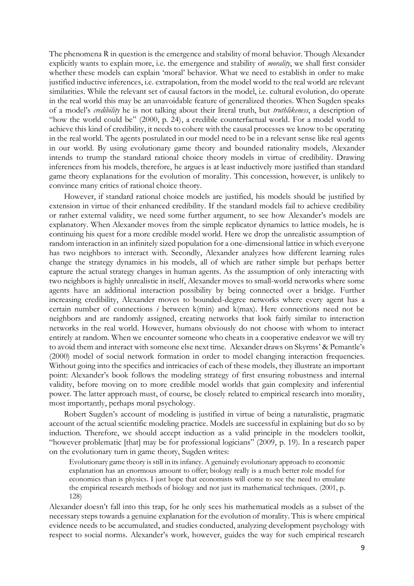The phenomena R in question is the emergence and stability of moral behavior. Though Alexander explicitly wants to explain more, i.e. the emergence and stability of *morality*, we shall first consider whether these models can explain 'moral' behavior. What we need to establish in order to make justified inductive inferences, i.e. extrapolation, from the model world to the real world are relevant similarities. While the relevant set of causal factors in the model, i.e. cultural evolution, do operate in the real world this may be an unavoidable feature of generalized theories. When Sugden speaks of a model's *credibility* he is not talking about their literal truth, but *truthlikeness*, a description of "how the world could be" (2000, p. 24), a credible counterfactual world. For a model world to achieve this kind of credibility, it needs to cohere with the causal processes we know to be operating in the real world. The agents postulated in our model need to be in a relevant sense like real agents in our world. By using evolutionary game theory and bounded rationality models, Alexander intends to trump the standard rational choice theory models in virtue of credibility. Drawing inferences from his models, therefore, he argues is at least inductively more justified than standard game theory explanations for the evolution of morality. This concession, however, is unlikely to convince many critics of rational choice theory.

However, if standard rational choice models are justified, his models should be justified by extension in virtue of their enhanced credibility. If the standard models fail to achieve credibility or rather external validity, we need some further argument, to see how Alexander's models are explanatory. When Alexander moves from the simple replicator dynamics to lattice models, he is continuing his quest for a more credible model world. Here we drop the unrealistic assumption of random interaction in an infinitely sized population for a one-dimensional lattice in which everyone has two neighbors to interact with. Secondly, Alexander analyzes how different learning rules change the strategy dynamics in his models, all of which are rather simple but perhaps better capture the actual strategy changes in human agents. As the assumption of only interacting with two neighbors is highly unrealistic in itself, Alexander moves to small-world networks where some agents have an additional interaction possibility by being connected over a bridge. Further increasing credibility, Alexander moves to bounded-degree networks where every agent has a certain number of connections *i* between k(min) and k(max). Here connections need not be neighbors and are randomly assigned, creating networks that look fairly similar to interaction networks in the real world. However, humans obviously do not choose with whom to interact entirely at random. When we encounter someone who cheats in a cooperative endeavor we will try to avoid them and interact with someone else next time. Alexander draws on Skyrms' & Pemantle's (2000) model of social network formation in order to model changing interaction frequencies. Without going into the specifics and intricacies of each of these models, they illustrate an important point: Alexander's book follows the modeling strategy of first ensuring robustness and internal validity, before moving on to more credible model worlds that gain complexity and inferential power. The latter approach must, of course, be closely related to empirical research into morality, most importantly, perhaps moral psychology.

Robert Sugden's account of modeling is justified in virtue of being a naturalistic, pragmatic account of the actual scientific modeling practice. Models are successful in explaining but do so by induction. Therefore, we should accept induction as a valid principle in the modelers toolkit, "however problematic [that] may be for professional logicians" (2009, p. 19). In a research paper on the evolutionary turn in game theory, Sugden writes:

Evolutionary game theory is still in its infancy. A genuinely evolutionary approach to economic explanation has an enormous amount to offer; biology really is a much better role model for economics than is physics. I just hope that economists will come to see the need to emulate the empirical research methods of biology and not just its mathematical techniques. (2001, p. 128)

Alexander doesn't fall into this trap, for he only sees his mathematical models as a subset of the necessary steps towards a genuine explanation for the evolution of morality. This is where empirical evidence needs to be accumulated, and studies conducted, analyzing development psychology with respect to social norms. Alexander's work, however, guides the way for such empirical research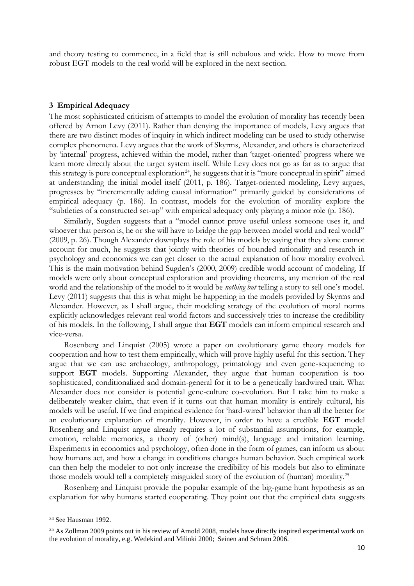and theory testing to commence, in a field that is still nebulous and wide. How to move from robust EGT models to the real world will be explored in the next section.

## **3 Empirical Adequacy**

The most sophisticated criticism of attempts to model the evolution of morality has recently been offered by Arnon Levy (2011). Rather than denying the importance of models, Levy argues that there are two distinct modes of inquiry in which indirect modeling can be used to study otherwise complex phenomena. Levy argues that the work of Skyrms, Alexander, and others is characterized by 'internal' progress, achieved within the model, rather than 'target-oriented' progress where we learn more directly about the target system itself. While Levy does not go as far as to argue that this strategy is pure conceptual exploration<sup>24</sup>, he suggests that it is "more conceptual in spirit" aimed at understanding the initial model itself (2011, p. 186). Target-oriented modeling, Levy argues, progresses by "incrementally adding causal information" primarily guided by considerations of empirical adequacy (p. 186). In contrast, models for the evolution of morality explore the "subtleties of a constructed set-up" with empirical adequacy only playing a minor role (p. 186).

Similarly, Sugden suggests that a "model cannot prove useful unless someone uses it, and whoever that person is, he or she will have to bridge the gap between model world and real world" (2009, p. 26). Though Alexander downplays the role of his models by saying that they alone cannot account for much, he suggests that jointly with theories of bounded rationality and research in psychology and economics we can get closer to the actual explanation of how morality evolved. This is the main motivation behind Sugden's (2000, 2009) credible world account of modeling. If models were only about conceptual exploration and providing theorems, any mention of the real world and the relationship of the model to it would be *nothing but* telling a story to sell one's model. Levy (2011) suggests that this is what might be happening in the models provided by Skyrms and Alexander. However, as I shall argue, their modeling strategy of the evolution of moral norms explicitly acknowledges relevant real world factors and successively tries to increase the credibility of his models. In the following, I shall argue that **EGT** models can inform empirical research and vice-versa.

Rosenberg and Linquist (2005) wrote a paper on evolutionary game theory models for cooperation and how to test them empirically, which will prove highly useful for this section. They argue that we can use archaeology, anthropology, primatology and even gene-sequencing to support **EGT** models. Supporting Alexander, they argue that human cooperation is too sophisticated, conditionalized and domain-general for it to be a genetically hardwired trait. What Alexander does not consider is potential gene-culture co-evolution. But I take him to make a deliberately weaker claim, that even if it turns out that human morality is entirely cultural, his models will be useful. If we find empirical evidence for 'hard-wired' behavior than all the better for an evolutionary explanation of morality. However, in order to have a credible **EGT** model Rosenberg and Linquist argue already requires a lot of substantial assumptions, for example, emotion, reliable memories, a theory of (other) mind(s), language and imitation learning. Experiments in economics and psychology, often done in the form of games, can inform us about how humans act, and how a change in conditions changes human behavior. Such empirical work can then help the modeler to not only increase the credibility of his models but also to eliminate those models would tell a completely misguided story of the evolution of (human) morality.<sup>25</sup>

Rosenberg and Linquist provide the popular example of the big-game hunt hypothesis as an explanation for why humans started cooperating. They point out that the empirical data suggests

<sup>24</sup> See Hausman 1992.

<sup>&</sup>lt;sup>25</sup> As Zollman 2009 points out in his review of Arnold 2008, models have directly inspired experimental work on the evolution of morality, e.g. Wedekind and Milinki 2000; Seinen and Schram 2006.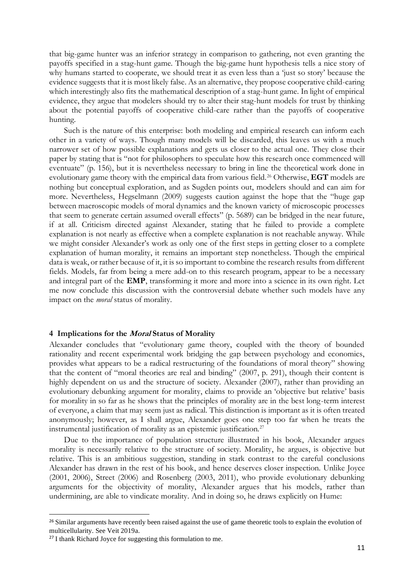that big-game hunter was an inferior strategy in comparison to gathering, not even granting the payoffs specified in a stag-hunt game. Though the big-game hunt hypothesis tells a nice story of why humans started to cooperate, we should treat it as even less than a 'just so story' because the evidence suggests that it is most likely false. As an alternative, they propose cooperative child-caring which interestingly also fits the mathematical description of a stag-hunt game. In light of empirical evidence, they argue that modelers should try to alter their stag-hunt models for trust by thinking about the potential payoffs of cooperative child-care rather than the payoffs of cooperative hunting.

Such is the nature of this enterprise: both modeling and empirical research can inform each other in a variety of ways. Though many models will be discarded, this leaves us with a much narrower set of how possible explanations and gets us closer to the actual one. They close their paper by stating that is "not for philosophers to speculate how this research once commenced will eventuate" (p. 156), but it is nevertheless necessary to bring in line the theoretical work done in evolutionary game theory with the empirical data from various field.<sup>26</sup> Otherwise, **EGT** models are nothing but conceptual exploration, and as Sugden points out, modelers should and can aim for more. Nevertheless, Hegselmann (2009) suggests caution against the hope that the "huge gap between macroscopic models of moral dynamics and the known variety of microscopic processes that seem to generate certain assumed overall effects" (p. 5689) can be bridged in the near future, if at all. Criticism directed against Alexander, stating that he failed to provide a complete explanation is not nearly as effective when a complete explanation is not reachable anyway. While we might consider Alexander's work as only one of the first steps in getting closer to a complete explanation of human morality, it remains an important step nonetheless. Though the empirical data is weak, or rather because of it, it is so important to combine the research results from different fields. Models, far from being a mere add-on to this research program, appear to be a necessary and integral part of the **EMP**, transforming it more and more into a science in its own right. Let me now conclude this discussion with the controversial debate whether such models have any impact on the *moral* status of morality.

## **4 Implications for the Moral Status of Morality**

Alexander concludes that "evolutionary game theory, coupled with the theory of bounded rationality and recent experimental work bridging the gap between psychology and economics, provides what appears to be a radical restructuring of the foundations of moral theory" showing that the content of "moral theories are real and binding" (2007, p. 291), though their content is highly dependent on us and the structure of society. Alexander (2007), rather than providing an evolutionary debunking argument for morality, claims to provide an 'objective but relative' basis for morality in so far as he shows that the principles of morality are in the best long-term interest of everyone, a claim that may seem just as radical. This distinction is important as it is often treated anonymously; however, as I shall argue, Alexander goes one step too far when he treats the instrumental justification of morality as an epistemic justification.<sup>27</sup>

Due to the importance of population structure illustrated in his book, Alexander argues morality is necessarily relative to the structure of society. Morality, he argues, is objective but relative. This is an ambitious suggestion, standing in stark contrast to the careful conclusions Alexander has drawn in the rest of his book, and hence deserves closer inspection. Unlike Joyce (2001, 2006), Street (2006) and Rosenberg (2003, 2011), who provide evolutionary debunking arguments for the objectivity of morality, Alexander argues that his models, rather than undermining, are able to vindicate morality. And in doing so, he draws explicitly on Hume:

<sup>&</sup>lt;sup>26</sup> Similar arguments have recently been raised against the use of game theoretic tools to explain the evolution of multicellularity. See Veit 2019a.

<sup>&</sup>lt;sup>27</sup> I thank Richard Joyce for suggesting this formulation to me.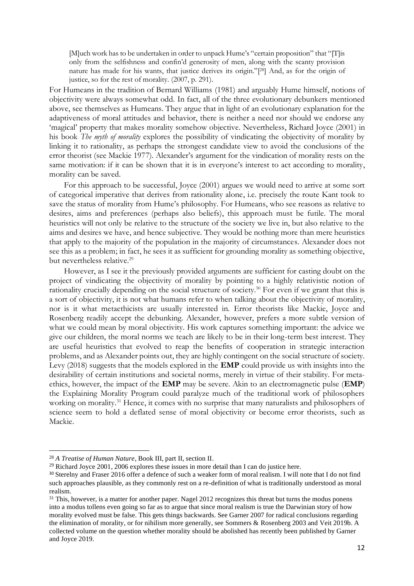[M]uch work has to be undertaken in order to unpack Hume's "certain proposition" that "[T]is only from the selfishness and confin'd generosity of men, along with the scanty provision nature has made for his wants, that justice derives its origin."[28] And, as for the origin of justice, so for the rest of morality. (2007, p. 291).

For Humeans in the tradition of Bernard Williams (1981) and arguably Hume himself, notions of objectivity were always somewhat odd. In fact, all of the three evolutionary debunkers mentioned above, see themselves as Humeans. They argue that in light of an evolutionary explanation for the adaptiveness of moral attitudes and behavior, there is neither a need nor should we endorse any 'magical' property that makes morality somehow objective. Nevertheless, Richard Joyce (2001) in his book *The myth of morality* explores the possibility of vindicating the objectivity of morality by linking it to rationality, as perhaps the strongest candidate view to avoid the conclusions of the error theorist (see Mackie 1977). Alexander's argument for the vindication of morality rests on the same motivation: if it can be shown that it is in everyone's interest to act according to morality, morality can be saved.

For this approach to be successful, Joyce (2001) argues we would need to arrive at some sort of categorical imperative that derives from rationality alone, i.e. precisely the route Kant took to save the status of morality from Hume's philosophy. For Humeans, who see reasons as relative to desires, aims and preferences (perhaps also beliefs), this approach must be futile. The moral heuristics will not only be relative to the structure of the society we live in, but also relative to the aims and desires we have, and hence subjective. They would be nothing more than mere heuristics that apply to the majority of the population in the majority of circumstances. Alexander does not see this as a problem; in fact, he sees it as sufficient for grounding morality as something objective, but nevertheless relative.<sup>29</sup>

However, as I see it the previously provided arguments are sufficient for casting doubt on the project of vindicating the objectivity of morality by pointing to a highly relativistic notion of rationality crucially depending on the social structure of society.<sup>30</sup> For even if we grant that this is a sort of objectivity, it is not what humans refer to when talking about the objectivity of morality, nor is it what metaethicists are usually interested in. Error theorists like Mackie, Joyce and Rosenberg readily accept the debunking. Alexander, however, prefers a more subtle version of what we could mean by moral objectivity. His work captures something important: the advice we give our children, the moral norms we teach are likely to be in their long-term best interest. They are useful heuristics that evolved to reap the benefits of cooperation in strategic interaction problems, and as Alexander points out, they are highly contingent on the social structure of society. Levy (2018) suggests that the models explored in the **EMP** could provide us with insights into the desirability of certain institutions and societal norms, merely in virtue of their stability. For metaethics, however, the impact of the **EMP** may be severe. Akin to an electromagnetic pulse (**EMP**) the Explaining Morality Program could paralyze much of the traditional work of philosophers working on morality.<sup>31</sup> Hence, it comes with no surprise that many naturalists and philosophers of science seem to hold a deflated sense of moral objectivity or become error theorists, such as Mackie.

<sup>28</sup> *A Treatise of Human Nature*, Book III, part II, section II.

 $29$  Richard Joyce 2001, 2006 explores these issues in more detail than I can do justice here.

<sup>&</sup>lt;sup>30</sup> Sterelny and Fraser 2016 offer a defence of such a weaker form of moral realism. I will note that I do not find such approaches plausible, as they commonly rest on a re-definition of what is traditionally understood as moral realism.

<sup>&</sup>lt;sup>31</sup> This, however, is a matter for another paper. Nagel 2012 recognizes this threat but turns the modus ponens into a modus tollens even going so far as to argue that since moral realism is true the Darwinian story of how morality evolved must be false. This gets things backwards. See Garner 2007 for radical conclusions regarding the elimination of morality, or for nihilism more generally, see Sommers & Rosenberg 2003 and Veit 2019b. A collected volume on the question whether morality should be abolished has recently been published by Garner and Joyce 2019.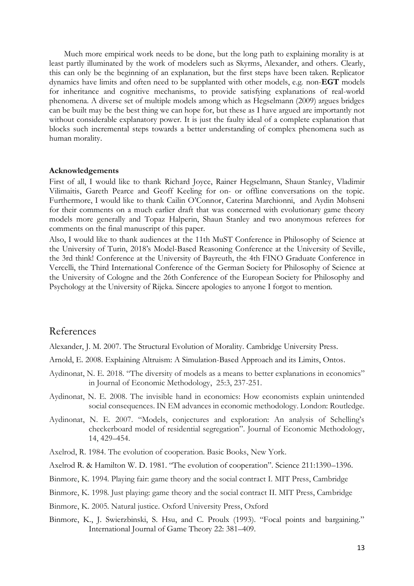Much more empirical work needs to be done, but the long path to explaining morality is at least partly illuminated by the work of modelers such as Skyrms, Alexander, and others. Clearly, this can only be the beginning of an explanation, but the first steps have been taken. Replicator dynamics have limits and often need to be supplanted with other models, e.g. non-**EGT** models for inheritance and cognitive mechanisms, to provide satisfying explanations of real-world phenomena. A diverse set of multiple models among which as Hegselmann (2009) argues bridges can be built may be the best thing we can hope for, but these as I have argued are importantly not without considerable explanatory power. It is just the faulty ideal of a complete explanation that blocks such incremental steps towards a better understanding of complex phenomena such as human morality.

## **Acknowledgements**

First of all, I would like to thank Richard Joyce, Rainer Hegselmann, Shaun Stanley, Vladimir Vilimaitis, Gareth Pearce and Geoff Keeling for on- or offline conversations on the topic. Furthermore, I would like to thank Cailin O'Connor, Caterina Marchionni, and Aydin Mohseni for their comments on a much earlier draft that was concerned with evolutionary game theory models more generally and Topaz Halperin, Shaun Stanley and two anonymous referees for comments on the final manuscript of this paper.

Also, I would like to thank audiences at the 11th MuST Conference in Philosophy of Science at the University of Turin, 2018's Model-Based Reasoning Conference at the University of Seville, the 3rd think! Conference at the University of Bayreuth, the 4th FINO Graduate Conference in Vercelli, the Third International Conference of the German Society for Philosophy of Science at the University of Cologne and the 26th Conference of the European Society for Philosophy and Psychology at the University of Rijeka. Sincere apologies to anyone I forgot to mention.

## References

Alexander, J. M. 2007. The Structural Evolution of Morality. Cambridge University Press.

- Arnold, E. 2008. Explaining Altruism: A Simulation-Based Approach and its Limits, Ontos.
- Aydinonat, N. E. 2018. "The diversity of models as a means to better explanations in economics" in Journal of Economic Methodology, 25:3, 237-251.
- Aydinonat, N. E. 2008. The invisible hand in economics: How economists explain unintended social consequences. IN EM advances in economic methodology. London: Routledge.
- Aydinonat, N. E. 2007. "Models, conjectures and exploration: An analysis of Schelling's checkerboard model of residential segregation". Journal of Economic Methodology, 14, 429–454.
- Axelrod, R. 1984. The evolution of cooperation. Basic Books, New York.
- Axelrod R. & Hamilton W. D. 1981. "The evolution of cooperation". Science 211:1390–1396.

Binmore, K. 1994. Playing fair: game theory and the social contract I. MIT Press, Cambridge

- Binmore, K. 1998. Just playing: game theory and the social contract II. MIT Press, Cambridge
- Binmore, K. 2005. Natural justice. Oxford University Press, Oxford
- Binmore, K., J. Swierzbinski, S. Hsu, and C. Proulx (1993). "Focal points and bargaining." International Journal of Game Theory 22: 381–409.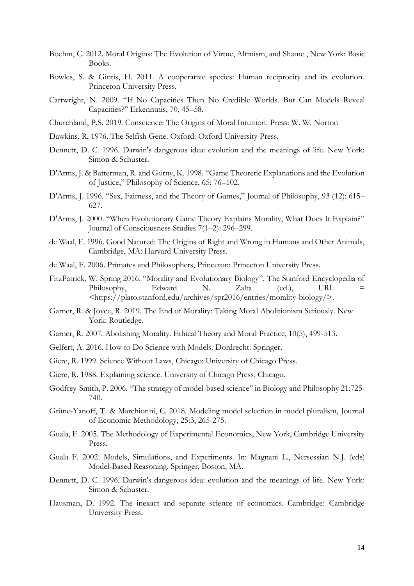- Boehm, C. 2012. Moral Origins: The Evolution of Virtue, Altruism, and Shame , New York: Basic Books.
- Bowles, S. & Gintis, H. 2011. A cooperative species: Human reciprocity and its evolution. Princeton University Press.
- Cartwright, N. 2009. "If No Capacities Then No Credible Worlds. But Can Models Reveal Capacities?" Erkenntnis, 70, 45–58.
- Churchland, P.S. 2019. Conscience: The Origins of Moral Intuition. Press: W. W. Norton
- Dawkins, R. 1976. The Selfish Gene. Oxford: Oxford University Press.
- Dennett, D. C. 1996. Darwin's dangerous idea: evolution and the meanings of life. New York: Simon & Schuster.
- D'Arms, J. & Batterman, R. and Górny, K. 1998. "Game Theoretic Explanations and the Evolution of Justice," Philosophy of Science, 65: 76–102.
- D'Arms, J. 1996. "Sex, Fairness, and the Theory of Games," Journal of Philosophy, 93 (12): 615– 627.
- D'Arms, J. 2000. "When Evolutionary Game Theory Explains Morality, What Does It Explain?" Journal of Consciousness Studies 7(1–2): 296–299.
- de Waal, F. 1996. Good Natured: The Origins of Right and Wrong in Humans and Other Animals, Cambridge, MA: Harvard University Press.
- de Waal, F. 2006. Primates and Philosophers, Princeton: Princeton University Press.
- FitzPatrick, W. Spring 2016. "Morality and Evolutionary Biology", The Stanford Encyclopedia of Philosophy, Edward N. Zalta (ed.), URL <https://plato.stanford.edu/archives/spr2016/entries/morality-biology/>.
- Garner, R. & Joyce, R. 2019. The End of Morality: Taking Moral Abolitionism Seriously. New York: Routledge.
- Garner, R. 2007. Abolishing Morality. Ethical Theory and Moral Practice, 10(5), 499-513.
- Gelfert, A. 2016. How to Do Science with Models. Dordrecht: Springer.
- Giere, R. 1999. Science Without Laws, Chicago: University of Chicago Press.
- Giere, R. 1988. Explaining science. University of Chicago Press, Chicago.
- Godfrey-Smith, P. 2006. "The strategy of model-based science" in Biology and Philosophy 21:725- 740.
- Grüne-Yanoff, T. & Marchionni, C. 2018. Modeling model selection in model pluralism, Journal of Economic Methodology, 25:3, 265-275.
- Guala, F. 2005. The Methodology of Experimental Economics, New York, Cambridge University Press.
- Guala F. 2002. Models, Simulations, and Experiments. In: Magnani L., Nersessian N.J. (eds) Model-Based Reasoning. Springer, Boston, MA.
- Dennett, D. C. 1996. Darwin's dangerous idea: evolution and the meanings of life. New York: Simon & Schuster.
- Hausman, D. 1992. The inexact and separate science of economics. Cambridge: Cambridge University Press.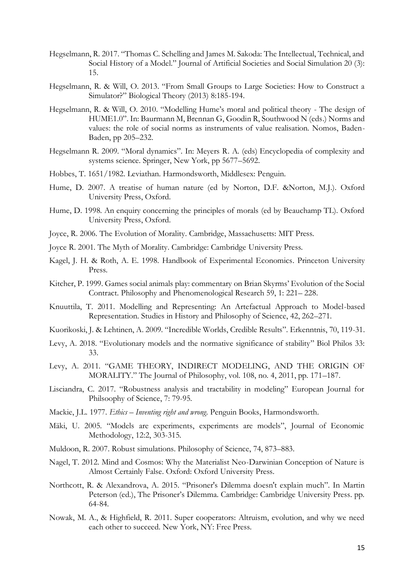- Hegselmann, R. 2017. "Thomas C. Schelling and James M. Sakoda: The Intellectual, Technical, and Social History of a Model." Journal of Artificial Societies and Social Simulation 20 (3): 15.
- Hegselmann, R. & Will, O. 2013. "From Small Groups to Large Societies: How to Construct a Simulator?" Biological Theory (2013) 8:185-194.
- Hegselmann, R. & Will, O. 2010. "Modelling Hume's moral and political theory The design of HUME1.0". In: Baurmann M, Brennan G, Goodin R, Southwood N (eds.) Norms and values: the role of social norms as instruments of value realisation. Nomos, Baden-Baden, pp 205–232.
- Hegselmann R. 2009. "Moral dynamics". In: Meyers R. A. (eds) Encyclopedia of complexity and systems science. Springer, New York, pp 5677–5692.
- Hobbes, T. 1651/1982. Leviathan. Harmondsworth, Middlesex: Penguin.
- Hume, D. 2007. A treatise of human nature (ed by Norton, D.F. &Norton, M.J.). Oxford University Press, Oxford.
- Hume, D. 1998. An enquiry concerning the principles of morals (ed by Beauchamp TL). Oxford University Press, Oxford.
- Joyce, R. 2006. The Evolution of Morality. Cambridge, Massachusetts: MIT Press.
- Joyce R. 2001. The Myth of Morality. Cambridge: Cambridge University Press.
- Kagel, J. H. & Roth, A. E. 1998. Handbook of Experimental Economics. Princeton University Press.
- Kitcher, P. 1999. Games social animals play: commentary on Brian Skyrms' Evolution of the Social Contract. Philosophy and Phenomenological Research 59, 1: 221– 228.
- Knuuttila, T. 2011. Modelling and Representing: An Artefactual Approach to Model-based Representation. Studies in History and Philosophy of Science, 42, 262–271.
- Kuorikoski, J. & Lehtinen, A. 2009. "Incredible Worlds, Credible Results". Erkenntnis, 70, 119-31.
- Levy, A. 2018. "Evolutionary models and the normative significance of stability" Biol Philos 33: 33.
- Levy, A. 2011. "GAME THEORY, INDIRECT MODELING, AND THE ORIGIN OF MORALITY." The Journal of Philosophy, vol. 108, no. 4, 2011, pp. 171–187.
- Lisciandra, C. 2017. "Robustness analysis and tractability in modeling" European Journal for Philsoophy of Science, 7: 79-95.
- Mackie, J.L. 1977. *Ethics – Inventing right and wrong*. Penguin Books, Harmondsworth.
- Mäki, U. 2005. "Models are experiments, experiments are models", Journal of Economic Methodology, 12:2, 303-315.
- Muldoon, R. 2007. Robust simulations. Philosophy of Science, 74, 873–883.
- Nagel, T. 2012. Mind and Cosmos: Why the Materialist Neo-Darwinian Conception of Nature is Almost Certainly False. Oxford: Oxford University Press.
- Northcott, R. & Alexandrova, A. 2015. "Prisoner's Dilemma doesn't explain much". In Martin Peterson (ed.), The Prisoner's Dilemma. Cambridge: Cambridge University Press. pp. 64-84.
- Nowak, M. A., & Highfield, R. 2011. Super cooperators: Altruism, evolution, and why we need each other to succeed. New York, NY: Free Press.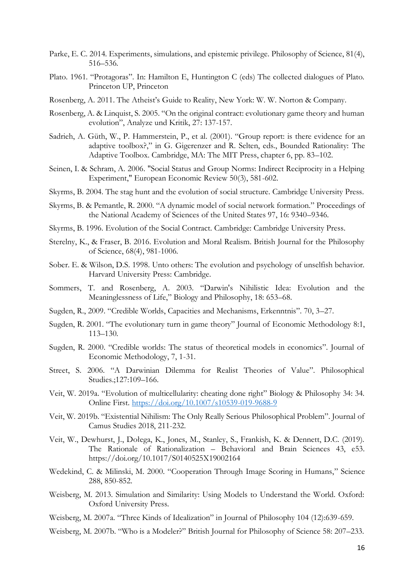- Parke, E. C. 2014. Experiments, simulations, and epistemic privilege. Philosophy of Science, 81(4), 516–536.
- Plato. 1961. "Protagoras". In: Hamilton E, Huntington C (eds) The collected dialogues of Plato. Princeton UP, Princeton
- Rosenberg, A. 2011. The Atheist's Guide to Reality, New York: W. W. Norton & Company.
- Rosenberg, A. & Linquist, S. 2005. "On the original contract: evolutionary game theory and human evolution", Analyze und Kritik, 27: 137-157.
- Sadrieh, A. Güth, W., P. Hammerstein, P., et al. (2001). "Group report: is there evidence for an adaptive toolbox?," in G. Gigerenzer and R. Selten, eds., Bounded Rationality: The Adaptive Toolbox. Cambridge, MA: The MIT Press, chapter 6, pp. 83–102.
- Seinen, I. & Schram, A. 2006. "Social Status and Group Norms: Indirect Reciprocity in a Helping Experiment," European Economic Review 50(3), 581-602.
- Skyrms, B. 2004. The stag hunt and the evolution of social structure. Cambridge University Press.
- Skyrms, B. & Pemantle, R. 2000. "A dynamic model of social network formation." Proceedings of the National Academy of Sciences of the United States 97, 16: 9340–9346.
- Skyrms, B. 1996. Evolution of the Social Contract. Cambridge: Cambridge University Press.
- Sterelny, K., & Fraser, B. 2016. Evolution and Moral Realism. British Journal for the Philosophy of Science, 68(4), 981-1006.
- Sober. E. & Wilson, D.S. 1998. Unto others: The evolution and psychology of unselfish behavior. Harvard University Press: Cambridge.
- Sommers, T. and Rosenberg, A. 2003. "Darwin's Nihilistic Idea: Evolution and the Meaninglessness of Life," Biology and Philosophy, 18: 653–68.
- Sugden, R., 2009. "Credible Worlds, Capacities and Mechanisms, Erkenntnis". 70, 3–27.
- Sugden, R. 2001. "The evolutionary turn in game theory" Journal of Economic Methodology 8:1, 113–130.
- Sugden, R. 2000. "Credible worlds: The status of theoretical models in economics". Journal of Economic Methodology, 7, 1-31.
- Street, S. 2006. "A Darwinian Dilemma for Realist Theories of Value". Philosophical Studies.;127:109–166.
- Veit, W. 2019a. "Evolution of multicellularity: cheating done right" Biology & Philosophy 34: 34. Online First.<https://doi.org/10.1007/s10539-019-9688-9>
- Veit, W. 2019b. "Existential Nihilism: The Only Really Serious Philosophical Problem". Journal of Camus Studies 2018, 211-232.
- Veit, W., Dewhurst, J., Dołega, K., Jones, M., Stanley, S., Frankish, K. & Dennett, D.C. (2019). The Rationale of Rationalization – Behavioral and Brain Sciences 43, e53. https://doi.org/10.1017/S0140525X19002164
- Wedekind, C. & Milinski, M. 2000. "Cooperation Through Image Scoring in Humans," Science 288, 850-852.
- Weisberg, M. 2013. Simulation and Similarity: Using Models to Understand the World. Oxford: Oxford University Press.
- Weisberg, M. 2007a. "Three Kinds of Idealization" in Journal of Philosophy 104 (12):639-659.
- Weisberg, M. 2007b. "Who is a Modeler?" British Journal for Philosophy of Science 58: 207–233.